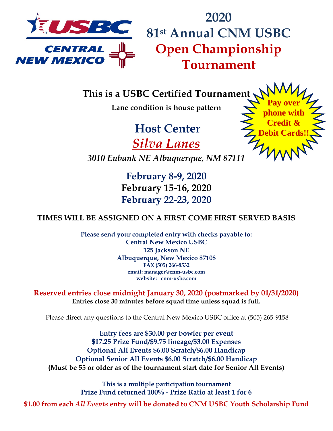

**2020 81st Annual CNM USBC Open Championship Tournament**

**This is a USBC Certified Tournament**

**Lane condition is house pattern**

**Host Center**  *Silva Lanes*

**Pay over phone with Credit & Debit Cards!!**

*3010 Eubank NE Albuquerque, NM 87111*

**February 8-9, 2020 February 15-16, 2020 February 22-23, 2020**

## **TIMES WILL BE ASSIGNED ON A FIRST COME FIRST SERVED BASIS**

**Please send your completed entry with checks payable to: Central New Mexico USBC 125 Jackson NE Albuquerque, New Mexico 87108 FAX (505) 266-8532 email: manager@cnm-usbc.com website: cnm-usbc.com**

**Reserved entries close midnight January 30, 2020 (postmarked by 01/31/2020) Entries close 30 minutes before squad time unless squad is full.**

Please direct any questions to the Central New Mexico USBC office at (505) 265-9158

**Entry fees are \$30.00 per bowler per event \$17.25 Prize Fund/\$9.75 lineage/\$3.00 Expenses Optional All Events \$6.00 Scratch/\$6.00 Handicap Optional Senior All Events \$6.00 Scratch/\$6.00 Handicap (Must be 55 or older as of the tournament start date for Senior All Events)**

> **This is a multiple participation tournament Prize Fund returned 100% - Prize Ratio at least 1 for 6**

**\$1.00 from each** *All Events* **entry will be donated to CNM USBC Youth Scholarship Fund**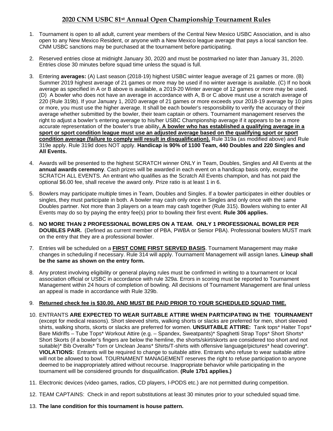## **2020 CNM USBC 81st Annual Open Championship Tournament Rules**

- 1. Tournament is open to all adult, current year members of the Central New Mexico USBC Association, and is also open to any New Mexico Resident, or anyone with a New Mexico league average that pays a local sanction fee. CNM USBC sanctions may be purchased at the tournament before participating.
- 2. Reserved entries close at midnight January 30, 2020 and must be postmarked no later than January 31, 2020. Entries close 30 minutes before squad time unless the squad is full.
- 3. Entering **averages:** (A) Last season (2018-19) highest USBC winter league average of 21 games or more. (B) Summer 2019 highest average of 21 games or more may be used if no winter average is available. (C) If no book average as specified in A or B above is available, a 2019-20 Winter average of 12 games or more may be used. (D) A bowler who does not have an average in accordance with A, B or C above must use a scratch average of 220 (Rule 319b). If your January 1, 2020 average of 21 games or more exceeds your 2018-19 average by 10 pins or more, you must use the higher average. It shall be each bowler's responsibility to verify the accuracy of their average whether submitted by the bowler, their team captain or others. Tournament management reserves the right to adjust a bowler's entering average to his/her USBC Championship average if it appears to be a more accurate representation of the bowler's true ability**. A bowler who has established a qualifying average in a sport or sport condition league must use an adjusted average based on the qualifying sport or sport condition average (failure to comply will result in disqualification).** Rule 319a (as modified above) and Rule 319e apply. Rule 319d does NOT apply. **Handicap is 90% of 1100 Team, 440 Doubles and 220 Singles and All Events.**
- 4. Awards will be presented to the highest SCRATCH winner ONLY in Team, Doubles, Singles and All Events at the **annual awards ceremony**. Cash prizes will be awarded in each event on a handicap basis only, except the SCRATCH ALL EVENTS. An entrant who qualifies as the Scratch All Events champion, and has not paid the optional \$6.00 fee, shall receive the award only. Prize ratio is at least 1 in 6.
- 5. Bowlers may participate multiple times in Team, Doubles and Singles. If a bowler participates in either doubles or singles, they must participate in both. A bowler may cash only once in Singles and only once with the same Doubles partner. Not more than 3 players on a team may cash together (Rule 315). Bowlers wishing to enter All Events may do so by paying the entry fee(s) prior to bowling their first event. **Rule 306 applies.**
- 6. **NO MORE THAN 2 PROFESSIONAL BOWLERS ON A TEAM. ONLY 1 PROFESSIONAL BOWLER PER DOUBLES PAIR.** (Defined as current member of PBA, PWBA or Senior PBA). Professional bowlers MUST mark on the entry that they are a professional bowler.
- 7. Entries will be scheduled on a **FIRST COME FIRST SERVED BASIS**. Tournament Management may make changes in scheduling if necessary. Rule 314 will apply. Tournament Management will assign lanes. **Lineup shall be the same as shown on the entry form.**
- 8. Any protest involving eligibility or general playing rules must be confirmed in writing to a tournament or local association official or USBC in accordance with rule 329a. Errors in scoring must be reported to Tournament Management within 24 hours of completion of bowling. All decisions of Tournament Management are final unless an appeal is made in accordance with Rule 329b.

## 9. **Returned check fee is \$30.00, AND MUST BE PAID PRIOR TO YOUR SCHEDULED SQUAD TIME.**

- 10. ENTRANTS **ARE EXPECTED TO WEAR SUITABLE ATTIRE WHEN PARTICIPATING IN THE TOURNAMENT** (except for medical reasons). Short sleeved shirts, walking shorts or slacks are preferred for men, short sleeved shirts, walking shorts, skorts or slacks are preferred for women. **UNSUITABLE ATTIRE:** Tank tops\* Halter Tops\* Bare Midriffs – Tube Tops\* Workout Attire (e.g. – Spandex, Sweatpants)\* Spaghetti Strap Tops\* Short Shorts\* Short Skorts (if a bowler's fingers are below the hemline, the shorts/skirt/skorts are considered too short and not suitable)\* Bib Overalls\* Torn or Unclean Jeans\* Shirts/T-shirts with offensive language/pictures\* head covering\*. **VIOLATIONS:** Entrants will be required to change to suitable attire. Entrants who refuse to wear suitable attire will not be allowed to bowl. TOURNAMENT MANAGEMENT reserves the right to refuse participation to anyone deemed to be inappropriately attired without recourse. Inappropriate behavior while participating in the tournament will be considered grounds for disqualification. **(Rule 17b1 applies.)**
- 11. Electronic devices (video games, radios, CD players, I-PODS etc.) are not permitted during competition.
- 12. TEAM CAPTAINS: Check in and report substitutions at least 30 minutes prior to your scheduled squad time.
- 13. **The lane condition for this tournament is house pattern.**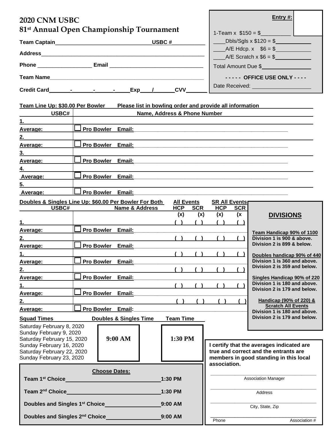| 2020 CNM USBC                                                                                                                                                                                                                                   |                             |                              |                                                  | Entry #:                                           |                                                                                 |  |
|-------------------------------------------------------------------------------------------------------------------------------------------------------------------------------------------------------------------------------------------------|-----------------------------|------------------------------|--------------------------------------------------|----------------------------------------------------|---------------------------------------------------------------------------------|--|
| 81 <sup>st</sup> Annual Open Championship Tournament                                                                                                                                                                                            |                             |                              | 1-Team x $$150 = $$                              |                                                    |                                                                                 |  |
| Team Captain___________________________________USBC #                                                                                                                                                                                           |                             |                              | $L_{\rm \,}$ Dbls/Sgls x \$120 = \$ $L_{\rm \,}$ |                                                    |                                                                                 |  |
|                                                                                                                                                                                                                                                 |                             |                              |                                                  | $A/E Hdcp. x$ \$6 = \$<br>$A/E$ Scratch x $$6 = $$ |                                                                                 |  |
|                                                                                                                                                                                                                                                 |                             |                              |                                                  | Total Amount Due \$                                |                                                                                 |  |
|                                                                                                                                                                                                                                                 |                             |                              |                                                  | ----- OFFICE USE ONLY ----                         |                                                                                 |  |
|                                                                                                                                                                                                                                                 |                             | <b>CVV</b>                   |                                                  |                                                    |                                                                                 |  |
| Team Line Up: \$30.00 Per Bowler<br>Please list in bowling order and provide all information                                                                                                                                                    |                             |                              |                                                  |                                                    |                                                                                 |  |
| USBC#                                                                                                                                                                                                                                           |                             | Name, Address & Phone Number |                                                  |                                                    |                                                                                 |  |
| 1.                                                                                                                                                                                                                                              |                             |                              |                                                  |                                                    |                                                                                 |  |
| <u>Average:</u>                                                                                                                                                                                                                                 | Pro Bowler Email:           |                              |                                                  |                                                    |                                                                                 |  |
| <b>2.</b> The contract of the contract of the contract of the contract of the contract of the contract of the contract of the contract of the contract of the contract of the contract of the contract of the contract of the contr<br>Average: | Pro Bowler Email:           |                              |                                                  |                                                    |                                                                                 |  |
|                                                                                                                                                                                                                                                 |                             |                              |                                                  |                                                    |                                                                                 |  |
| Average:                                                                                                                                                                                                                                        | Pro Bowler Email:           |                              |                                                  |                                                    |                                                                                 |  |
| 4.                                                                                                                                                                                                                                              |                             |                              |                                                  |                                                    |                                                                                 |  |
| Average:                                                                                                                                                                                                                                        | Pro Bowler Email:           |                              |                                                  |                                                    |                                                                                 |  |
| 5.                                                                                                                                                                                                                                              |                             |                              |                                                  |                                                    |                                                                                 |  |
| Average:                                                                                                                                                                                                                                        | │ Pro Bow <u>ler Email:</u> |                              |                                                  |                                                    |                                                                                 |  |
| Doubles & Singles Line Up: \$60.00 Per Bowler For Both<br><b>All Events</b><br>USBC#<br>Name & Address<br>HCP SCR                                                                                                                               |                             |                              |                                                  | <b>SR All Events</b><br><b>HCP</b><br><b>SCR</b>   |                                                                                 |  |
|                                                                                                                                                                                                                                                 |                             | (x)                          | (x)                                              | (x)<br>(x)                                         | <b>DIVISIONS</b>                                                                |  |
| Average:                                                                                                                                                                                                                                        | Pro Bowler Email:           |                              |                                                  |                                                    |                                                                                 |  |
|                                                                                                                                                                                                                                                 |                             |                              |                                                  |                                                    | Team Handicap 90% of 1100<br>Division 1 is 900 & above.                         |  |
| Average:                                                                                                                                                                                                                                        | Pro Bowler Email:           |                              |                                                  |                                                    | Division 2 is 899 & below.                                                      |  |
| 1.                                                                                                                                                                                                                                              |                             |                              |                                                  | ( ) ( ) ( ) ( ) ( )                                | Doubles handicap 90% of 440                                                     |  |
| Average:                                                                                                                                                                                                                                        | Pro Bowler Email:           |                              |                                                  |                                                    | Division 1 is 360 and above.                                                    |  |
| 2.                                                                                                                                                                                                                                              |                             | (1)                          |                                                  | $\sqrt{ }$                                         | Division 2 is 359 and below.                                                    |  |
| Average:                                                                                                                                                                                                                                        | Pro Bowler Email:           |                              |                                                  |                                                    | Singles Handicap 90% of 220                                                     |  |
| $1.$ $\blacksquare$                                                                                                                                                                                                                             |                             |                              |                                                  | ( ) ( ) ( ) ( ) ( )                                | Division 1 is 180 and above.<br>Division 2 is 179 and below.                    |  |
| Average:                                                                                                                                                                                                                                        | Pro Bowler Email:           |                              |                                                  |                                                    |                                                                                 |  |
| 2.                                                                                                                                                                                                                                              |                             | ( )                          | ( )                                              | ( )                                                | Handicap (90% of 220) &<br><b>Scratch All Events</b>                            |  |
| Average:                                                                                                                                                                                                                                        | Pro Bowler Email:           |                              |                                                  |                                                    | Division 1 is 180 and above.<br>Division 2 is 179 and below.                    |  |
| <b>Team Time</b><br>Doubles & Singles Time<br><b>Squad Times Squad Times</b>                                                                                                                                                                    |                             |                              |                                                  |                                                    |                                                                                 |  |
| Saturday February 8, 2020<br>Sunday February 9, 2020<br>9:00 AM<br>Saturday February 15, 2020<br>Sunday February 16, 2020                                                                                                                       |                             | 1:30 PM                      |                                                  |                                                    | I certify that the averages indicated are                                       |  |
| Saturday February 22, 2020<br>Sunday February 23, 2020                                                                                                                                                                                          |                             |                              |                                                  |                                                    | true and correct and the entrants are<br>members in good standing in this local |  |
|                                                                                                                                                                                                                                                 | <b>Choose Dates:</b>        | association.                 |                                                  |                                                    |                                                                                 |  |
| Team 1 <sup>st</sup> Choice<br>1:30 PM                                                                                                                                                                                                          |                             |                              | <b>Association Manager</b>                       |                                                    |                                                                                 |  |
| Team 2 <sup>nd</sup> Choice<br>1:30 PM<br><u> 1970 - Johann Barn, mars ann an t-Amhain Aonaich an t-Aonaich an t-Aonaich ann an t-Aonaich ann an t-Aonaich</u>                                                                                  |                             |                              | Address                                          |                                                    |                                                                                 |  |
| 9:00 AM                                                                                                                                                                                                                                         |                             |                              | City, State, Zip                                 |                                                    |                                                                                 |  |
| Doubles and Singles 2 <sup>nd</sup> Choice <b>Constant Constructs</b><br>9:00 AM                                                                                                                                                                |                             |                              | Phone                                            | Association #                                      |                                                                                 |  |